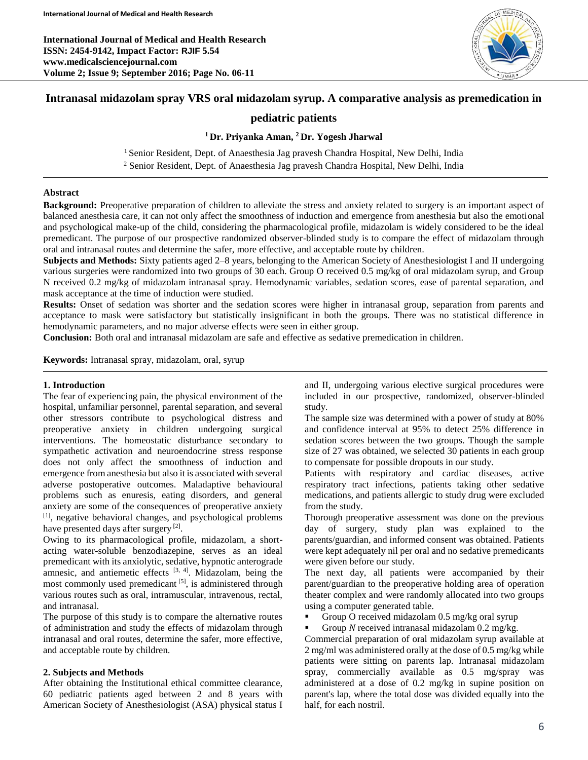**International Journal of Medical and Health Research ISSN: 2454-9142, Impact Factor: RJIF 5.54 www.medicalsciencejournal.com Volume 2; Issue 9; September 2016; Page No. 06-11**



# **Intranasal midazolam spray VRS oral midazolam syrup. A comparative analysis as premedication in**

# **pediatric patients**

### **<sup>1</sup> Dr. Priyanka Aman, <sup>2</sup>Dr. Yogesh Jharwal**

<sup>1</sup> Senior Resident, Dept. of Anaesthesia Jag pravesh Chandra Hospital, New Delhi, India <sup>2</sup> Senior Resident, Dept. of Anaesthesia Jag pravesh Chandra Hospital, New Delhi, India

#### **Abstract**

**Background:** Preoperative preparation of children to alleviate the stress and anxiety related to surgery is an important aspect of balanced anesthesia care, it can not only affect the smoothness of induction and emergence from anesthesia but also the emotional and psychological make-up of the child, considering the pharmacological profile, midazolam is widely considered to be the ideal premedicant. The purpose of our prospective randomized observer-blinded study is to compare the effect of midazolam through oral and intranasal routes and determine the safer, more effective, and acceptable route by children.

**Subjects and Methods:** Sixty patients aged 2–8 years, belonging to the American Society of Anesthesiologist I and II undergoing various surgeries were randomized into two groups of 30 each. Group O received 0.5 mg/kg of oral midazolam syrup, and Group N received 0.2 mg/kg of midazolam intranasal spray. Hemodynamic variables, sedation scores, ease of parental separation, and mask acceptance at the time of induction were studied.

**Results:** Onset of sedation was shorter and the sedation scores were higher in intranasal group, separation from parents and acceptance to mask were satisfactory but statistically insignificant in both the groups. There was no statistical difference in hemodynamic parameters, and no major adverse effects were seen in either group.

**Conclusion:** Both oral and intranasal midazolam are safe and effective as sedative premedication in children.

**Keywords:** Intranasal spray, midazolam, oral, syrup

### **1. Introduction**

The fear of experiencing pain, the physical environment of the hospital, unfamiliar personnel, parental separation, and several other stressors contribute to psychological distress and preoperative anxiety in children undergoing surgical interventions. The homeostatic disturbance secondary to sympathetic activation and neuroendocrine stress response does not only affect the smoothness of induction and emergence from anesthesia but also it is associated with several adverse postoperative outcomes. Maladaptive behavioural problems such as enuresis, eating disorders, and general anxiety are some of the consequences of preoperative anxiety [1] , negative behavioral changes, and psychological problems have presented days after surgery [2].

Owing to its pharmacological profile, midazolam, a shortacting water-soluble benzodiazepine, serves as an ideal premedicant with its anxiolytic, sedative, hypnotic anterograde amnesic, and antiemetic effects  $[3, 4]$ . Midazolam, being the most commonly used premedicant<sup>[5]</sup>, is administered through various routes such as oral, intramuscular, intravenous, rectal, and intranasal.

The purpose of this study is to compare the alternative routes of administration and study the effects of midazolam through intranasal and oral routes, determine the safer, more effective, and acceptable route by children.

### **2. Subjects and Methods**

After obtaining the Institutional ethical committee clearance, 60 pediatric patients aged between 2 and 8 years with American Society of Anesthesiologist (ASA) physical status I

and II, undergoing various elective surgical procedures were included in our prospective, randomized, observer-blinded study.

The sample size was determined with a power of study at 80% and confidence interval at 95% to detect 25% difference in sedation scores between the two groups. Though the sample size of 27 was obtained, we selected 30 patients in each group to compensate for possible dropouts in our study.

Patients with respiratory and cardiac diseases, active respiratory tract infections, patients taking other sedative medications, and patients allergic to study drug were excluded from the study.

Thorough preoperative assessment was done on the previous day of surgery, study plan was explained to the parents/guardian, and informed consent was obtained. Patients were kept adequately nil per oral and no sedative premedicants were given before our study.

The next day, all patients were accompanied by their parent/guardian to the preoperative holding area of operation theater complex and were randomly allocated into two groups using a computer generated table.

- Group O received midazolam 0.5 mg/kg oral syrup
- Group *N* received intranasal midazolam 0.2 mg/kg.

Commercial preparation of oral midazolam syrup available at 2 mg/ml was administered orally at the dose of 0.5 mg/kg while patients were sitting on parents lap. Intranasal midazolam spray, commercially available as 0.5 mg/spray was administered at a dose of 0.2 mg/kg in supine position on parent's lap, where the total dose was divided equally into the half, for each nostril.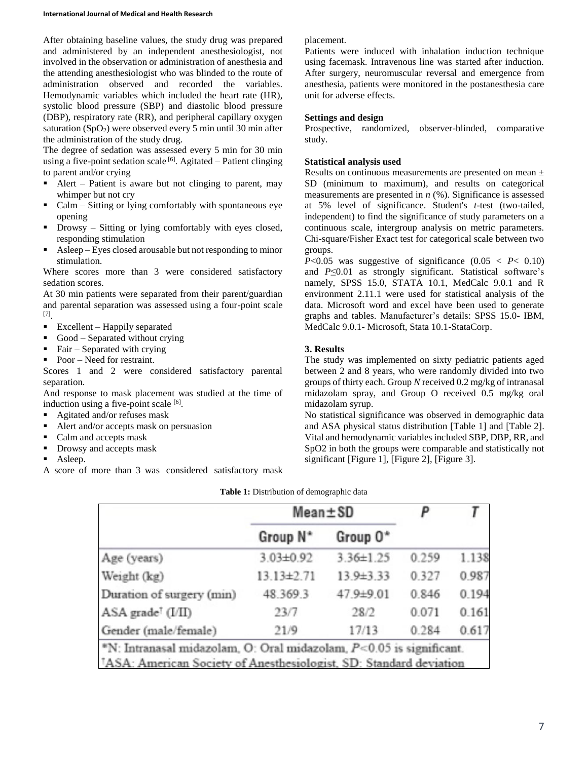After obtaining baseline values, the study drug was prepared and administered by an independent anesthesiologist, not involved in the observation or administration of anesthesia and the attending anesthesiologist who was blinded to the route of administration observed and recorded the variables. Hemodynamic variables which included the heart rate (HR), systolic blood pressure (SBP) and diastolic blood pressure (DBP), respiratory rate (RR), and peripheral capillary oxygen saturation  $(SpO<sub>2</sub>)$  were observed every 5 min until 30 min after the administration of the study drug.

The degree of sedation was assessed every 5 min for 30 min using a five-point sedation scale [6]. Agitated – Patient clinging to parent and/or crying

- Alert Patient is aware but not clinging to parent, may whimper but not cry
- $\blacksquare$  Calm Sitting or lying comfortably with spontaneous eye opening
- Drowsy Sitting or lying comfortably with eyes closed, responding stimulation
- Asleep Eyes closed arousable but not responding to minor stimulation.

Where scores more than 3 were considered satisfactory sedation scores.

At 30 min patients were separated from their parent/guardian and parental separation was assessed using a four-point scale [7] .

- Excellent Happily separated
- Good Separated without crying
- Fair Separated with crying
- Poor Need for restraint.

Scores 1 and 2 were considered satisfactory parental separation.

And response to mask placement was studied at the time of induction using a five-point scale [6].

- Agitated and/or refuses mask
- Alert and/or accepts mask on persuasion
- Calm and accepts mask
- Drowsy and accepts mask
- **Asleep.**

A score of more than 3 was considered satisfactory mask

### placement.

Patients were induced with inhalation induction technique using facemask. Intravenous line was started after induction. After surgery, neuromuscular reversal and emergence from anesthesia, patients were monitored in the postanesthesia care unit for adverse effects.

## **Settings and design**

Prospective, randomized, observer-blinded, comparative study.

## **Statistical analysis used**

Results on continuous measurements are presented on mean ± SD (minimum to maximum), and results on categorical measurements are presented in *n* (%). Significance is assessed at 5% level of significance. Student's *t*-test (two-tailed, independent) to find the significance of study parameters on a continuous scale, intergroup analysis on metric parameters. Chi-square/Fisher Exact test for categorical scale between two groups.

 $P<0.05$  was suggestive of significance  $(0.05 < P< 0.10)$ and *P*≤0.01 as strongly significant. Statistical software's namely, SPSS 15.0, STATA 10.1, MedCalc 9.0.1 and R environment 2.11.1 were used for statistical analysis of the data. Microsoft word and excel have been used to generate graphs and tables. Manufacturer's details: SPSS 15.0- IBM, MedCalc 9.0.1- Microsoft, Stata 10.1-StataCorp.

## **3. Results**

The study was implemented on sixty pediatric patients aged between 2 and 8 years, who were randomly divided into two groups of thirty each. Group *N* received 0.2 mg/kg of intranasal midazolam spray, and Group O received 0.5 mg/kg oral midazolam syrup.

No statistical significance was observed in demographic data and ASA physical status distribution [Table 1] and [Table 2]. Vital and hemodynamic variables included SBP, DBP, RR, and SpO2 in both the groups were comparable and statistically not significant [Figure 1], [Figure 2], [Figure 3].

|                                                                                | $Mean \pm SD$        |                 | P     |       |
|--------------------------------------------------------------------------------|----------------------|-----------------|-------|-------|
|                                                                                | Group N <sup>*</sup> | Group 0*        |       |       |
| Age (years)                                                                    | $3.03 \pm 0.92$      | $3.36 \pm 1.25$ | 0.259 | 1.138 |
| Weight (kg)                                                                    | $13.13 \pm 2.71$     | $13.9 \pm 3.33$ | 0.327 | 0.987 |
| Duration of surgery (min)                                                      | 48.369.3             | 47.9±9.01       | 0.846 | 0.194 |
| $ASA$ grade <sup><math>\tau</math></sup> (I/II)                                | 23/7                 | 28/2            | 0.071 | 0.161 |
| Gender (male/female)                                                           | 21/9                 | 17/13           | 0.284 | 0.617 |
| $N$ : Intranasal midazolam, O: Oral midazolam, $P<0.05$ is significant.        |                      |                 |       |       |
| <sup>7</sup> ASA: American Society of Anesthesiologist, SD: Standard deviation |                      |                 |       |       |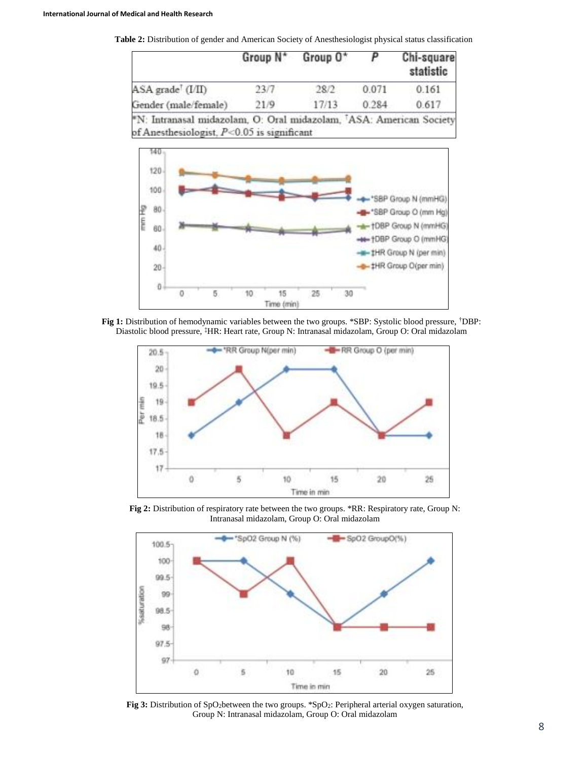**Table 2:** Distribution of gender and American Society of Anesthesiologist physical status classification

|                      | Group N <sup>*</sup> | Group 0* |       | Chi-square<br>statistic |
|----------------------|----------------------|----------|-------|-------------------------|
| ASA grade (I/II)     | 23/7                 | 28/2     | 0.071 | 0.161                   |
| Gender (male/female) | 21/9                 | 17/13    | 0.284 | 0.617                   |



**Fig 1:** Distribution of hemodynamic variables between the two groups. \*SBP: Systolic blood pressure, †DBP: Diastolic blood pressure, ‡HR: Heart rate, Group N: Intranasal midazolam, Group O: Oral midazolam



**Fig 2:** Distribution of respiratory rate between the two groups. \*RR: Respiratory rate, Group N: Intranasal midazolam, Group O: Oral midazolam



Fig 3: Distribution of SpO<sub>2</sub>between the two groups. \*SpO<sub>2</sub>: Peripheral arterial oxygen saturation, Group N: Intranasal midazolam, Group O: Oral midazolam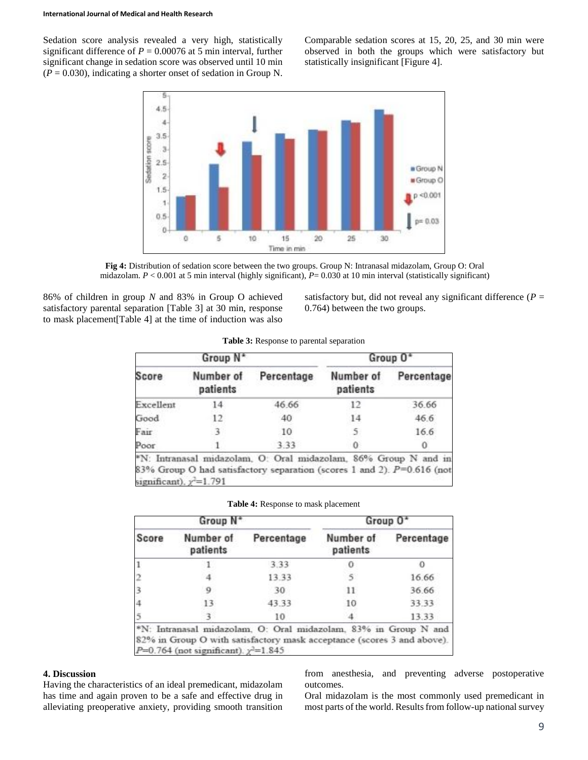Sedation score analysis revealed a very high, statistically significant difference of  $P = 0.00076$  at 5 min interval, further significant change in sedation score was observed until 10 min  $(P = 0.030)$ , indicating a shorter onset of sedation in Group N.

Comparable sedation scores at 15, 20, 25, and 30 min were observed in both the groups which were satisfactory but statistically insignificant [Figure 4].



**Fig 4:** Distribution of sedation score between the two groups. Group N: Intranasal midazolam, Group O: Oral midazolam.  $P < 0.001$  at 5 min interval (highly significant),  $P = 0.030$  at 10 min interval (statistically significant)

86% of children in group *N* and 83% in Group O achieved satisfactory parental separation [Table 3] at 30 min, response to mask placement[Table 4] at the time of induction was also

satisfactory but, did not reveal any significant difference  $(P =$ 0.764) between the two groups.

| Group N <sup>*</sup>          |                       |                                                                                                                                           | Group 0*              |            |  |
|-------------------------------|-----------------------|-------------------------------------------------------------------------------------------------------------------------------------------|-----------------------|------------|--|
| Score                         | Number of<br>patients | Percentage                                                                                                                                | Number of<br>patients | Percentage |  |
| Excellent                     | 14                    | 46.66                                                                                                                                     | 12                    | 36.66      |  |
| Good                          | 12                    | 40                                                                                                                                        | 14                    | 46.6       |  |
| Fair                          | 3                     | 10                                                                                                                                        | 5.                    | 16.6       |  |
| Poor                          |                       | 3.33                                                                                                                                      | 0                     |            |  |
| significant), $\chi^2$ =1.791 |                       | *N: Intranasal midazolam, O: Oral midazolam, 86% Group N and i<br>83% Group O had satisfactory separation (scores 1 and 2). $P=0.616$ (no |                       |            |  |

|  |  | Table 3: Response to parental separation |  |
|--|--|------------------------------------------|--|
|--|--|------------------------------------------|--|

**Table 4:** Response to mask placement

| Group N <sup>*</sup> |                       | Group 0*   |                       |            |
|----------------------|-----------------------|------------|-----------------------|------------|
| Score                | Number of<br>patients | Percentage | Number of<br>patients | Percentage |
|                      |                       | 3.33       |                       |            |
|                      |                       | 13.33      |                       | 16.66      |
|                      | Q                     | 30         | 11                    | 36.66      |
|                      | 13.                   | 43.33      | 10                    | 33.33      |
|                      |                       | 10         |                       | 13.33      |

#### **4. Discussion**

Having the characteristics of an ideal premedicant, midazolam has time and again proven to be a safe and effective drug in alleviating preoperative anxiety, providing smooth transition

from anesthesia, and preventing adverse postoperative outcomes.

Oral midazolam is the most commonly used premedicant in most parts of the world. Results from follow-up national survey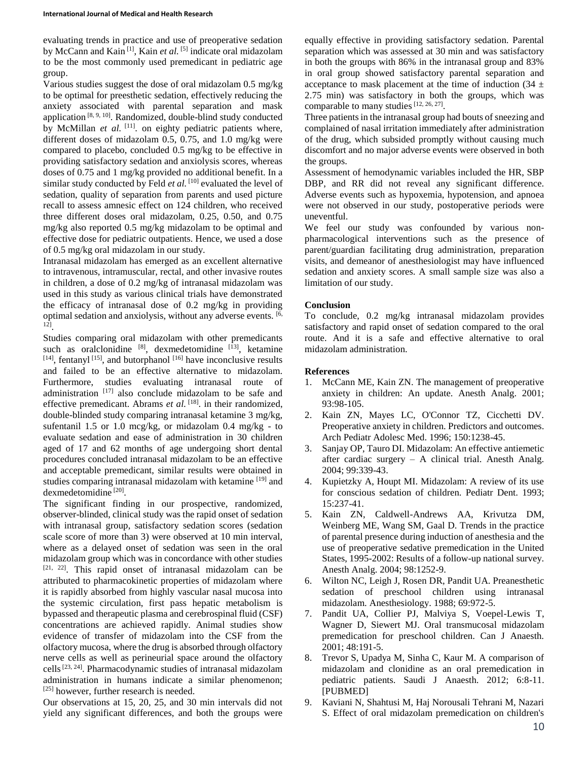evaluating trends in practice and use of preoperative sedation by McCann and Kain<sup>[1]</sup>, Kain *et al*. <sup>[5]</sup> indicate oral midazolam to be the most commonly used premedicant in pediatric age group.

Various studies suggest the dose of oral midazolam 0.5 mg/kg to be optimal for preesthetic sedation, effectively reducing the anxiety associated with parental separation and mask application  $[8, 9, 10]$ . Randomized, double-blind study conducted by McMillan *et al.* <sup>[11]</sup>. on eighty pediatric patients where, different doses of midazolam 0.5, 0.75, and 1.0 mg/kg were compared to placebo, concluded 0.5 mg/kg to be effective in providing satisfactory sedation and anxiolysis scores, whereas doses of 0.75 and 1 mg/kg provided no additional benefit. In a similar study conducted by Feld *et al.* [10] evaluated the level of sedation, quality of separation from parents and used picture recall to assess amnesic effect on 124 children, who received three different doses oral midazolam, 0.25, 0.50, and 0.75 mg/kg also reported 0.5 mg/kg midazolam to be optimal and effective dose for pediatric outpatients. Hence, we used a dose of 0.5 mg/kg oral midazolam in our study.

Intranasal midazolam has emerged as an excellent alternative to intravenous, intramuscular, rectal, and other invasive routes in children, a dose of 0.2 mg/kg of intranasal midazolam was used in this study as various clinical trials have demonstrated the efficacy of intranasal dose of 0.2 mg/kg in providing optimal sedation and anxiolysis, without any adverse events. [6, 12] .

Studies comparing oral midazolam with other premedicants such as oralclonidine  $[8]$ , dexmedetomidine  $[13]$ , ketamine  $[14]$ , fentanyl  $[15]$ , and butorphanol  $[16]$  have inconclusive results and failed to be an effective alternative to midazolam. Furthermore, studies evaluating intranasal route of administration  $[17]$  also conclude midazolam to be safe and effective premedicant. Abrams *et al.* <sup>[18]</sup>. in their randomized, double-blinded study comparing intranasal ketamine 3 mg/kg, sufentanil 1.5 or 1.0 mcg/kg, or midazolam 0.4 mg/kg - to evaluate sedation and ease of administration in 30 children aged of 17 and 62 months of age undergoing short dental procedures concluded intranasal midazolam to be an effective and acceptable premedicant, similar results were obtained in studies comparing intranasal midazolam with ketamine <sup>[19]</sup> and dexmedetomidine<sup>[20]</sup>.

The significant finding in our prospective, randomized, observer-blinded, clinical study was the rapid onset of sedation with intranasal group, satisfactory sedation scores (sedation scale score of more than 3) were observed at 10 min interval, where as a delayed onset of sedation was seen in the oral midazolam group which was in concordance with other studies [21, 22] . This rapid onset of intranasal midazolam can be attributed to pharmacokinetic properties of midazolam where it is rapidly absorbed from highly vascular nasal mucosa into the systemic circulation, first pass hepatic metabolism is bypassed and therapeutic plasma and cerebrospinal fluid (CSF) concentrations are achieved rapidly. Animal studies show evidence of transfer of midazolam into the CSF from the olfactory mucosa, where the drug is absorbed through olfactory nerve cells as well as perineurial space around the olfactory cells<sup>[23, 24]</sup>. Pharmacodynamic studies of intranasal midazolam administration in humans indicate a similar phenomenon; [25] however, further research is needed.

Our observations at 15, 20, 25, and 30 min intervals did not yield any significant differences, and both the groups were

equally effective in providing satisfactory sedation. Parental separation which was assessed at 30 min and was satisfactory in both the groups with 86% in the intranasal group and 83% in oral group showed satisfactory parental separation and acceptance to mask placement at the time of induction  $(34 \pm 1)$ 2.75 min) was satisfactory in both the groups, which was comparable to many studies  $[12, 26, 27]$ .

Three patients in the intranasal group had bouts of sneezing and complained of nasal irritation immediately after administration of the drug, which subsided promptly without causing much discomfort and no major adverse events were observed in both the groups.

Assessment of hemodynamic variables included the HR, SBP DBP, and RR did not reveal any significant difference. Adverse events such as hypoxemia, hypotension, and apnoea were not observed in our study, postoperative periods were uneventful.

We feel our study was confounded by various nonpharmacological interventions such as the presence of parent/guardian facilitating drug administration, preparation visits, and demeanor of anesthesiologist may have influenced sedation and anxiety scores. A small sample size was also a limitation of our study.

### **Conclusion**

To conclude, 0.2 mg/kg intranasal midazolam provides satisfactory and rapid onset of sedation compared to the oral route. And it is a safe and effective alternative to oral midazolam administration.

#### **References**

- 1. McCann ME, Kain ZN. The management of preoperative anxiety in children: An update. Anesth Analg. 2001; 93:98-105.
- 2. Kain ZN, Mayes LC, O'Connor TZ, Cicchetti DV. Preoperative anxiety in children. Predictors and outcomes. Arch Pediatr Adolesc Med. 1996; 150:1238-45.
- 3. Sanjay OP, Tauro DI. Midazolam: An effective antiemetic after cardiac surgery – A clinical trial. Anesth Analg. 2004; 99:339-43.
- 4. Kupietzky A, Houpt MI. Midazolam: A review of its use for conscious sedation of children. Pediatr Dent. 1993; 15:237-41.
- 5. Kain ZN, Caldwell-Andrews AA, Krivutza DM, Weinberg ME, Wang SM, Gaal D. Trends in the practice of parental presence during induction of anesthesia and the use of preoperative sedative premedication in the United States, 1995-2002: Results of a follow-up national survey. Anesth Analg. 2004; 98:1252-9.
- 6. Wilton NC, Leigh J, Rosen DR, Pandit UA. Preanesthetic sedation of preschool children using intranasal midazolam. Anesthesiology. 1988; 69:972-5.
- 7. Pandit UA, Collier PJ, Malviya S, Voepel-Lewis T, Wagner D, Siewert MJ. Oral transmucosal midazolam premedication for preschool children. Can J Anaesth. 2001; 48:191-5.
- 8. Trevor S, Upadya M, Sinha C, Kaur M. A comparison of midazolam and clonidine as an oral premedication in pediatric patients. Saudi J Anaesth. 2012; 6:8-11. [PUBMED]
- 9. Kaviani N, Shahtusi M, Haj Norousali Tehrani M, Nazari S. Effect of oral midazolam premedication on children's